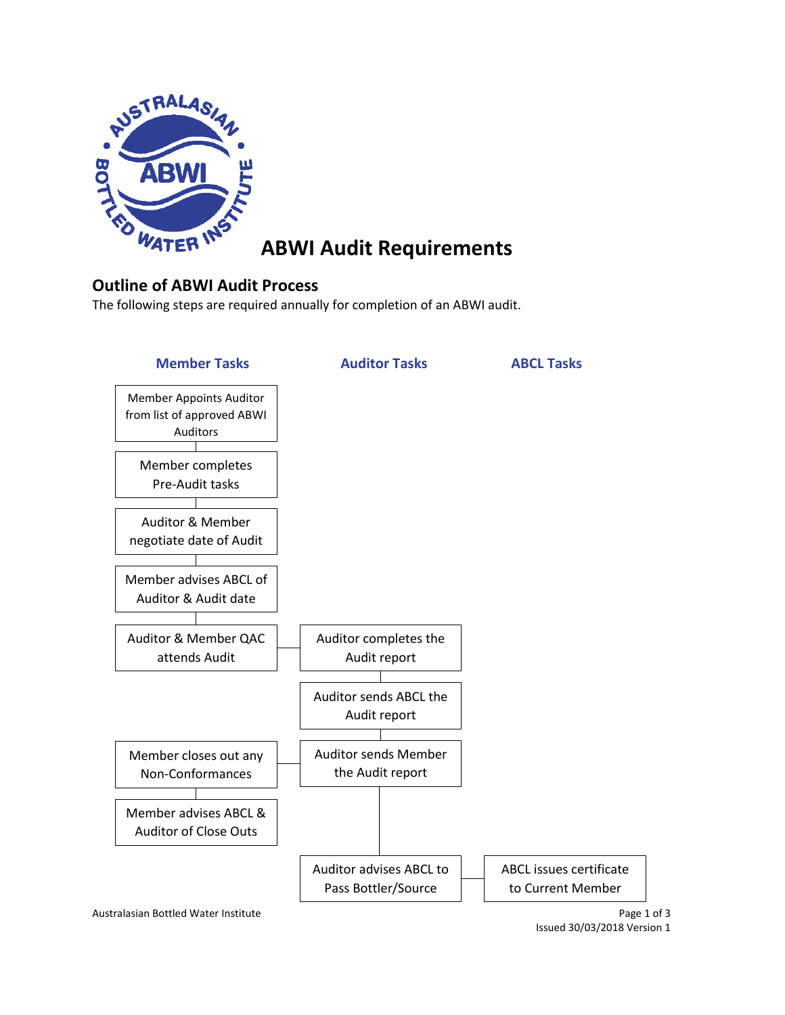

# **ABWI Audit Requirements**

# **Outline of ABWI Audit Process**

The following steps are required annually for completion of an ABWI audit.



Issued 30/03/2018 Version 1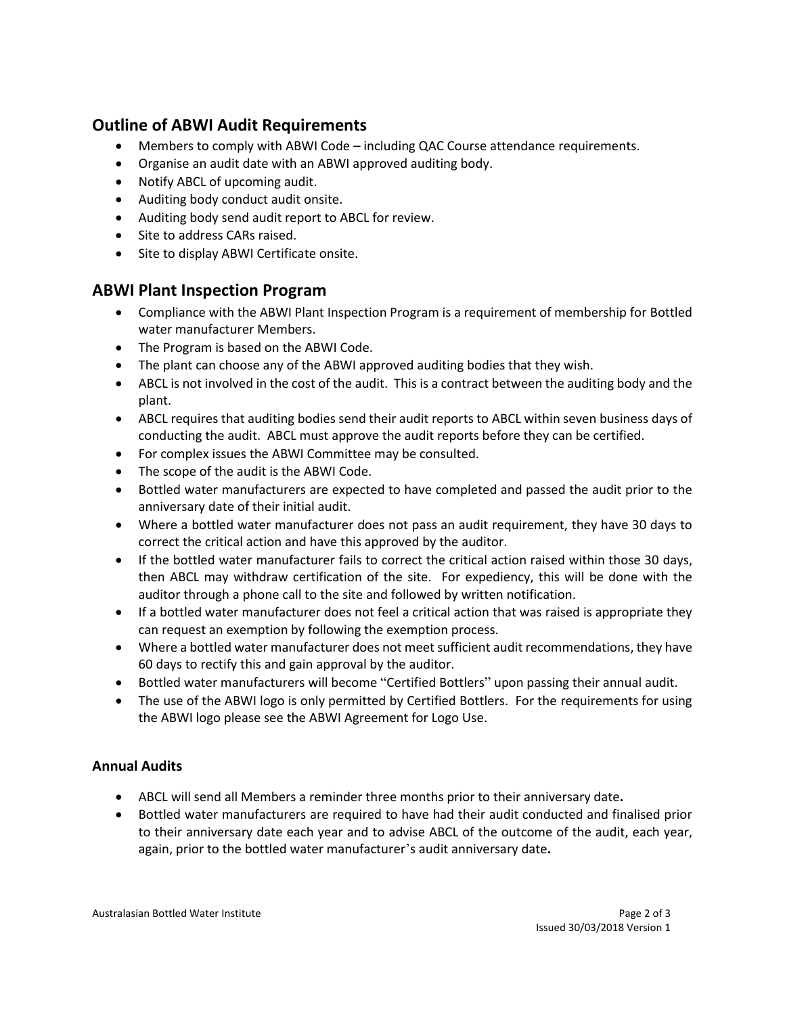# **Outline of ABWI Audit Requirements**

- Members to comply with ABWI Code including QAC Course attendance requirements.
- Organise an audit date with an ABWI approved auditing body.
- Notify ABCL of upcoming audit.
- Auditing body conduct audit onsite.
- Auditing body send audit report to ABCL for review.
- Site to address CARs raised.
- Site to display ABWI Certificate onsite.

# **ABWI Plant Inspection Program**

- Compliance with the ABWI Plant Inspection Program is a requirement of membership for Bottled water manufacturer Members.
- The Program is based on the ABWI Code.
- The plant can choose any of the ABWI approved auditing bodies that they wish.
- ABCL is not involved in the cost of the audit. This is a contract between the auditing body and the plant.
- ABCL requires that auditing bodies send their audit reports to ABCL within seven business days of conducting the audit. ABCL must approve the audit reports before they can be certified.
- For complex issues the ABWI Committee may be consulted.
- The scope of the audit is the ABWI Code.
- Bottled water manufacturers are expected to have completed and passed the audit prior to the anniversary date of their initial audit.
- Where a bottled water manufacturer does not pass an audit requirement, they have 30 days to correct the critical action and have this approved by the auditor.
- If the bottled water manufacturer fails to correct the critical action raised within those 30 days, then ABCL may withdraw certification of the site. For expediency, this will be done with the auditor through a phone call to the site and followed by written notification.
- If a bottled water manufacturer does not feel a critical action that was raised is appropriate they can request an exemption by following the exemption process.
- Where a bottled water manufacturer does not meet sufficient audit recommendations, they have 60 days to rectify this and gain approval by the auditor.
- Bottled water manufacturers will become "Certified Bottlers" upon passing their annual audit.
- The use of the ABWI logo is only permitted by Certified Bottlers. For the requirements for using the ABWI logo please see the ABWI Agreement for Logo Use.

### **Annual Audits**

- ABCL will send all Members a reminder three months prior to their anniversary date**.**
- Bottled water manufacturers are required to have had their audit conducted and finalised prior to their anniversary date each year and to advise ABCL of the outcome of the audit, each year, again, prior to the bottled water manufacturer's audit anniversary date**.**